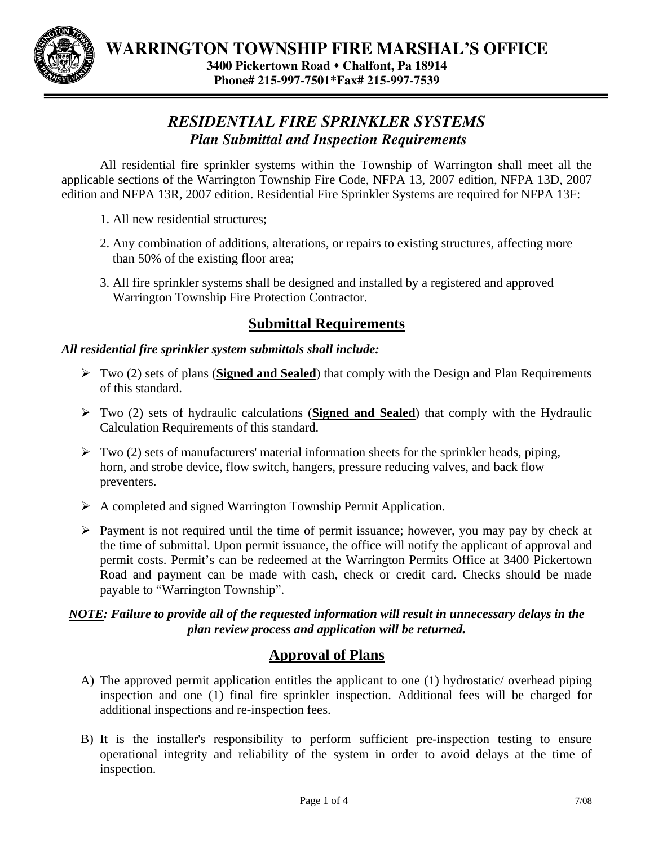

# *RESIDENTIAL FIRE SPRINKLER SYSTEMS Plan Submittal and Inspection Requirements*

All residential fire sprinkler systems within the Township of Warrington shall meet all the applicable sections of the Warrington Township Fire Code, NFPA 13, 2007 edition, NFPA 13D, 2007 edition and NFPA 13R, 2007 edition. Residential Fire Sprinkler Systems are required for NFPA 13F:

- 1. All new residential structures;
- 2. Any combination of additions, alterations, or repairs to existing structures, affecting more than 50% of the existing floor area;
- 3. All fire sprinkler systems shall be designed and installed by a registered and approved Warrington Township Fire Protection Contractor.

## **Submittal Requirements**

### *All residential fire sprinkler system submittals shall include:*

- ¾ Two (2) sets of plans (**Signed and Sealed**) that comply with the Design and Plan Requirements of this standard.
- ¾ Two (2) sets of hydraulic calculations (**Signed and Sealed**) that comply with the Hydraulic Calculation Requirements of this standard.
- $\triangleright$  Two (2) sets of manufacturers' material information sheets for the sprinkler heads, piping, horn, and strobe device, flow switch, hangers, pressure reducing valves, and back flow preventers.
- $\triangleright$  A completed and signed Warrington Township Permit Application.
- $\triangleright$  Payment is not required until the time of permit issuance; however, you may pay by check at the time of submittal. Upon permit issuance, the office will notify the applicant of approval and permit costs. Permit's can be redeemed at the Warrington Permits Office at 3400 Pickertown Road and payment can be made with cash, check or credit card. Checks should be made payable to "Warrington Township".

### *NOTE: Failure to provide all of the requested information will result in unnecessary delays in the plan review process and application will be returned.*

## **Approval of Plans**

- A) The approved permit application entitles the applicant to one (1) hydrostatic/ overhead piping inspection and one (1) final fire sprinkler inspection. Additional fees will be charged for additional inspections and re-inspection fees.
- B) It is the installer's responsibility to perform sufficient pre-inspection testing to ensure operational integrity and reliability of the system in order to avoid delays at the time of inspection.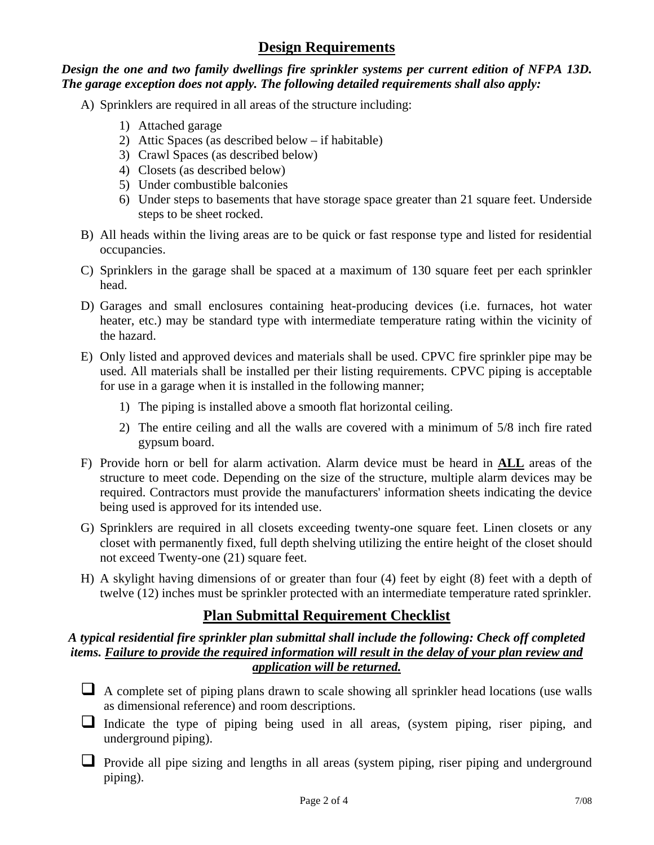### **Design Requirements**

### *Design the one and two family dwellings fire sprinkler systems per current edition of NFPA 13D. The garage exception does not apply. The following detailed requirements shall also apply:*

- A) Sprinklers are required in all areas of the structure including:
	- 1) Attached garage
	- 2) Attic Spaces (as described below if habitable)
	- 3) Crawl Spaces (as described below)
	- 4) Closets (as described below)
	- 5) Under combustible balconies
	- 6) Under steps to basements that have storage space greater than 21 square feet. Underside steps to be sheet rocked.
- B) All heads within the living areas are to be quick or fast response type and listed for residential occupancies.
- C) Sprinklers in the garage shall be spaced at a maximum of 130 square feet per each sprinkler head.
- D) Garages and small enclosures containing heat-producing devices (i.e. furnaces, hot water heater, etc.) may be standard type with intermediate temperature rating within the vicinity of the hazard.
- E) Only listed and approved devices and materials shall be used. CPVC fire sprinkler pipe may be used. All materials shall be installed per their listing requirements. CPVC piping is acceptable for use in a garage when it is installed in the following manner;
	- 1) The piping is installed above a smooth flat horizontal ceiling.
	- 2) The entire ceiling and all the walls are covered with a minimum of 5/8 inch fire rated gypsum board.
- F) Provide horn or bell for alarm activation. Alarm device must be heard in **ALL** areas of the structure to meet code. Depending on the size of the structure, multiple alarm devices may be required. Contractors must provide the manufacturers' information sheets indicating the device being used is approved for its intended use.
- G) Sprinklers are required in all closets exceeding twenty-one square feet. Linen closets or any closet with permanently fixed, full depth shelving utilizing the entire height of the closet should not exceed Twenty-one (21) square feet.
- H) A skylight having dimensions of or greater than four (4) feet by eight (8) feet with a depth of twelve (12) inches must be sprinkler protected with an intermediate temperature rated sprinkler.

### **Plan Submittal Requirement Checklist**

#### *A typical residential fire sprinkler plan submittal shall include the following: Check off completed items. Failure to provide the required information will result in the delay of your plan review and application will be returned.*

- $\Box$  A complete set of piping plans drawn to scale showing all sprinkler head locations (use walls as dimensional reference) and room descriptions.
- Indicate the type of piping being used in all areas, (system piping, riser piping, and underground piping).
- $\Box$  Provide all pipe sizing and lengths in all areas (system piping, riser piping and underground piping).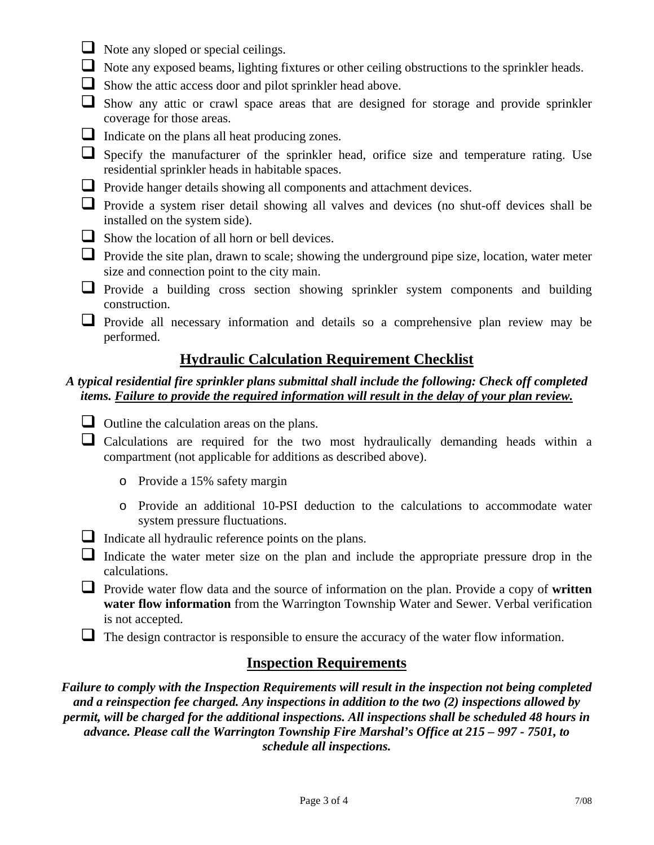- $\Box$  Note any sloped or special ceilings.
- Note any exposed beams, lighting fixtures or other ceiling obstructions to the sprinkler heads.
- $\Box$  Show the attic access door and pilot sprinkler head above.
- $\Box$  Show any attic or crawl space areas that are designed for storage and provide sprinkler coverage for those areas.
- Indicate on the plans all heat producing zones.

 $\Box$  Specify the manufacturer of the sprinkler head, orifice size and temperature rating. Use residential sprinkler heads in habitable spaces.

- **Provide hanger details showing all components and attachment devices.**
- Provide a system riser detail showing all valves and devices (no shut-off devices shall be installed on the system side).
- $\Box$  Show the location of all horn or bell devices.
- $\Box$  Provide the site plan, drawn to scale; showing the underground pipe size, location, water meter size and connection point to the city main.
- **Provide** a building cross section showing sprinkler system components and building construction.

 Provide all necessary information and details so a comprehensive plan review may be performed.

## **Hydraulic Calculation Requirement Checklist**

### *A typical residential fire sprinkler plans submittal shall include the following: Check off completed items. Failure to provide the required information will result in the delay of your plan review.*

- $\Box$  Outline the calculation areas on the plans.
- $\Box$  Calculations are required for the two most hydraulically demanding heads within a compartment (not applicable for additions as described above).
	- o Provide a 15% safety margin
	- o Provide an additional 10-PSI deduction to the calculations to accommodate water system pressure fluctuations.
- $\Box$  Indicate all hydraulic reference points on the plans.
- $\Box$  Indicate the water meter size on the plan and include the appropriate pressure drop in the calculations.
- Provide water flow data and the source of information on the plan. Provide a copy of **written water flow information** from the Warrington Township Water and Sewer. Verbal verification is not accepted.

 $\Box$  The design contractor is responsible to ensure the accuracy of the water flow information.

## **Inspection Requirements**

*Failure to comply with the Inspection Requirements will result in the inspection not being completed and a reinspection fee charged. Any inspections in addition to the two (2) inspections allowed by permit, will be charged for the additional inspections. All inspections shall be scheduled 48 hours in advance. Please call the Warrington Township Fire Marshal's Office at 215 – 997 - 7501, to schedule all inspections.*